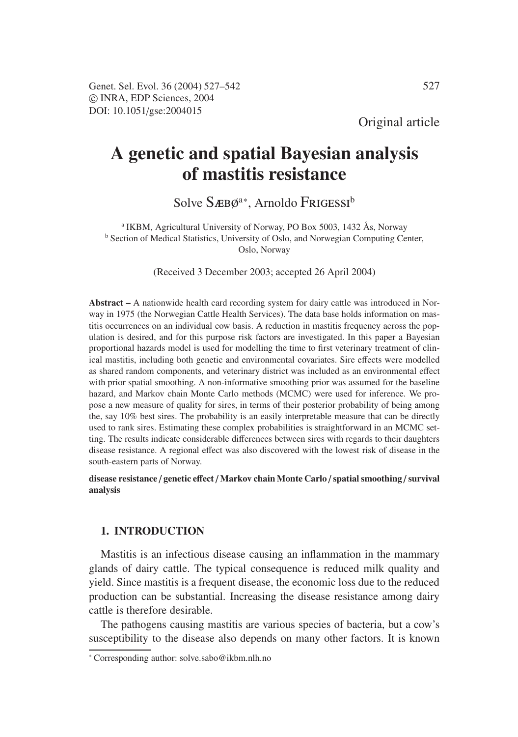Genet. Sel. Evol. 36 (2004) 527–542 527 c INRA, EDP Sciences, 2004 DOI: 10.1051/gse:2004015

# **A genetic and spatial Bayesian analysis of mastitis resistance**

# Solve  $S$ *EB* $\varnothing$ <sup>a\*</sup>, Arnoldo FRIGESSI<sup>b</sup>

<sup>a</sup> IKBM, Agricultural University of Norway, PO Box 5003, 1432 Ås, Norway **b** Section of Medical Statistics, University of Oslo, and Norwegian Computing Center, Oslo, Norway

(Received 3 December 2003; accepted 26 April 2004)

**Abstract –** A nationwide health card recording system for dairy cattle was introduced in Norway in 1975 (the Norwegian Cattle Health Services). The data base holds information on mastitis occurrences on an individual cow basis. A reduction in mastitis frequency across the population is desired, and for this purpose risk factors are investigated. In this paper a Bayesian proportional hazards model is used for modelling the time to first veterinary treatment of clinical mastitis, including both genetic and environmental covariates. Sire effects were modelled as shared random components, and veterinary district was included as an environmental effect with prior spatial smoothing. A non-informative smoothing prior was assumed for the baseline hazard, and Markov chain Monte Carlo methods (MCMC) were used for inference. We propose a new measure of quality for sires, in terms of their posterior probability of being among the, say 10% best sires. The probability is an easily interpretable measure that can be directly used to rank sires. Estimating these complex probabilities is straightforward in an MCMC setting. The results indicate considerable differences between sires with regards to their daughters disease resistance. A regional effect was also discovered with the lowest risk of disease in the south-eastern parts of Norway.

#### **disease resistance** / **genetic e**ff**ect** / **Markov chain Monte Carlo** /**spatial smoothing** / **survival analysis**

### **1. INTRODUCTION**

Mastitis is an infectious disease causing an inflammation in the mammary glands of dairy cattle. The typical consequence is reduced milk quality and yield. Since mastitis is a frequent disease, the economic loss due to the reduced production can be substantial. Increasing the disease resistance among dairy cattle is therefore desirable.

The pathogens causing mastitis are various species of bacteria, but a cow's susceptibility to the disease also depends on many other factors. It is known

<sup>∗</sup> Corresponding author: solve.sabo@ikbm.nlh.no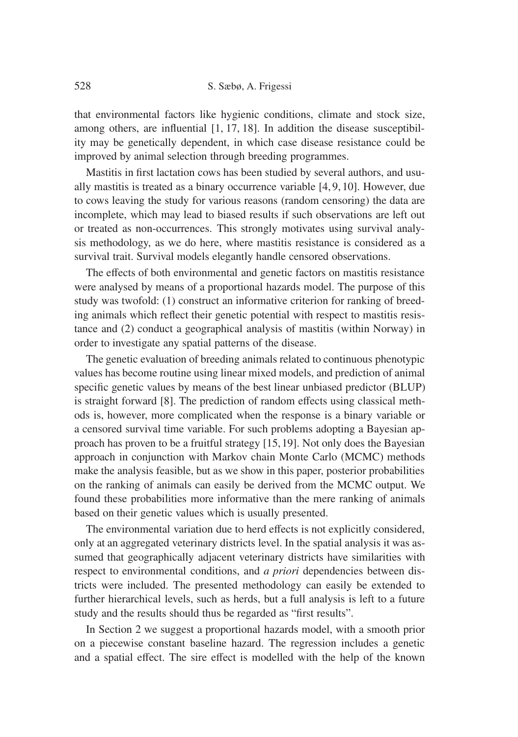### 528 S. Sæbø, A. Frigessi

that environmental factors like hygienic conditions, climate and stock size, among others, are influential [1, 17, 18]. In addition the disease susceptibility may be genetically dependent, in which case disease resistance could be improved by animal selection through breeding programmes.

Mastitis in first lactation cows has been studied by several authors, and usually mastitis is treated as a binary occurrence variable [4, 9, 10]. However, due to cows leaving the study for various reasons (random censoring) the data are incomplete, which may lead to biased results if such observations are left out or treated as non-occurrences. This strongly motivates using survival analysis methodology, as we do here, where mastitis resistance is considered as a survival trait. Survival models elegantly handle censored observations.

The effects of both environmental and genetic factors on mastitis resistance were analysed by means of a proportional hazards model. The purpose of this study was twofold: (1) construct an informative criterion for ranking of breeding animals which reflect their genetic potential with respect to mastitis resistance and (2) conduct a geographical analysis of mastitis (within Norway) in order to investigate any spatial patterns of the disease.

The genetic evaluation of breeding animals related to continuous phenotypic values has become routine using linear mixed models, and prediction of animal specific genetic values by means of the best linear unbiased predictor (BLUP) is straight forward [8]. The prediction of random effects using classical methods is, however, more complicated when the response is a binary variable or a censored survival time variable. For such problems adopting a Bayesian approach has proven to be a fruitful strategy [15,19]. Not only does the Bayesian approach in conjunction with Markov chain Monte Carlo (MCMC) methods make the analysis feasible, but as we show in this paper, posterior probabilities on the ranking of animals can easily be derived from the MCMC output. We found these probabilities more informative than the mere ranking of animals based on their genetic values which is usually presented.

The environmental variation due to herd effects is not explicitly considered, only at an aggregated veterinary districts level. In the spatial analysis it was assumed that geographically adjacent veterinary districts have similarities with respect to environmental conditions, and *a priori* dependencies between districts were included. The presented methodology can easily be extended to further hierarchical levels, such as herds, but a full analysis is left to a future study and the results should thus be regarded as "first results".

In Section 2 we suggest a proportional hazards model, with a smooth prior on a piecewise constant baseline hazard. The regression includes a genetic and a spatial effect. The sire effect is modelled with the help of the known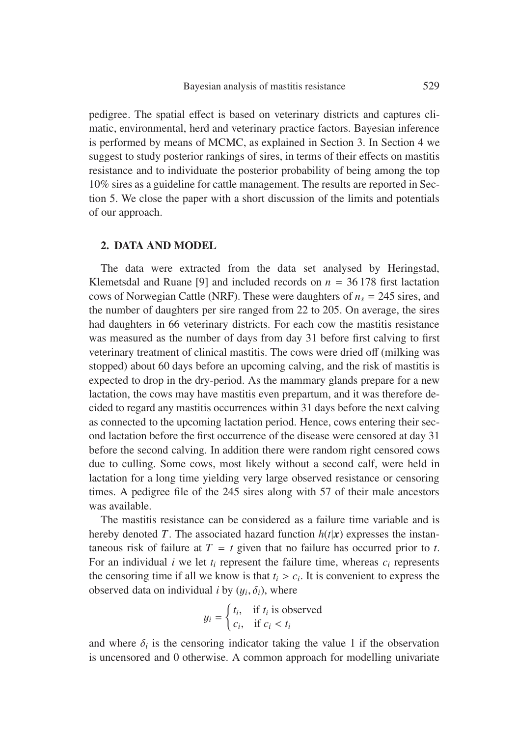pedigree. The spatial effect is based on veterinary districts and captures climatic, environmental, herd and veterinary practice factors. Bayesian inference is performed by means of MCMC, as explained in Section 3. In Section 4 we suggest to study posterior rankings of sires, in terms of their effects on mastitis resistance and to individuate the posterior probability of being among the top 10% sires as a guideline for cattle management. The results are reported in Section 5. We close the paper with a short discussion of the limits and potentials of our approach.

#### **2. DATA AND MODEL**

The data were extracted from the data set analysed by Heringstad, Klemetsdal and Ruane [9] and included records on  $n = 36178$  first lactation cows of Norwegian Cattle (NRF). These were daughters of  $n_s = 245$  sires, and the number of daughters per sire ranged from 22 to 205. On average, the sires had daughters in 66 veterinary districts. For each cow the mastitis resistance was measured as the number of days from day 31 before first calving to first veterinary treatment of clinical mastitis. The cows were dried off (milking was stopped) about 60 days before an upcoming calving, and the risk of mastitis is expected to drop in the dry-period. As the mammary glands prepare for a new lactation, the cows may have mastitis even prepartum, and it was therefore decided to regard any mastitis occurrences within 31 days before the next calving as connected to the upcoming lactation period. Hence, cows entering their second lactation before the first occurrence of the disease were censored at day 31 before the second calving. In addition there were random right censored cows due to culling. Some cows, most likely without a second calf, were held in lactation for a long time yielding very large observed resistance or censoring times. A pedigree file of the 245 sires along with 57 of their male ancestors was available.

The mastitis resistance can be considered as a failure time variable and is hereby denoted *T*. The associated hazard function  $h(t|\mathbf{x})$  expresses the instantaneous risk of failure at  $T = t$  given that no failure has occurred prior to  $t$ . For an individual  $i$  we let  $t_i$  represent the failure time, whereas  $c_i$  represents the censoring time if all we know is that  $t_i > c_i$ . It is convenient to express the observed data on individual *i* by  $(y_i, \delta_i)$ , where

$$
y_i = \begin{cases} t_i, & \text{if } t_i \text{ is observed} \\ c_i, & \text{if } c_i < t_i \end{cases}
$$

and where  $\delta_i$  is the censoring indicator taking the value 1 if the observation is uncensored and 0 otherwise. A common approach for modelling univariate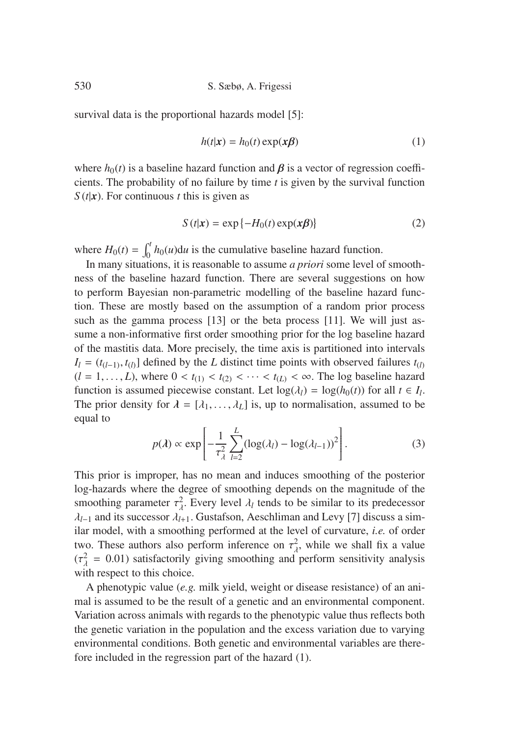survival data is the proportional hazards model [5]:

$$
h(t|\mathbf{x}) = h_0(t) \exp(\mathbf{x}\boldsymbol{\beta})
$$
\n(1)

where  $h_0(t)$  is a baseline hazard function and  $\beta$  is a vector of regression coefficients. The probability of no failure by time *t* is given by the survival function  $S(t|\mathbf{x})$ . For continuous *t* this is given as

$$
S(t|\mathbf{x}) = \exp\{-H_0(t)\exp(\mathbf{x}\boldsymbol{\beta})\}\tag{2}
$$

where  $H_0(t) = \int_0^t h_0(u) \, \mathrm{d}u$  is the cumulative baseline hazard function.

In many situations, it is reasonable to assume *a priori* some level of smoothness of the baseline hazard function. There are several suggestions on how to perform Bayesian non-parametric modelling of the baseline hazard function. These are mostly based on the assumption of a random prior process such as the gamma process [13] or the beta process [11]. We will just assume a non-informative first order smoothing prior for the log baseline hazard of the mastitis data. More precisely, the time axis is partitioned into intervals  $I_l = (t_{(l-1)}, t_{(l)})$  defined by the *L* distinct time points with observed failures  $t_{(l)}$  $(l = 1, \ldots, L)$ , where  $0 < t_{(1)} < t_{(2)} < \cdots < t_{(L)} < \infty$ . The log baseline hazard function is assumed piecewise constant. Let  $log(\lambda_l) = log(h_0(t))$  for all  $t \in I_l$ . The prior density for  $\lambda = [\lambda_1, \ldots, \lambda_L]$  is, up to normalisation, assumed to be equal to

$$
p(\lambda) \propto \exp\left[-\frac{1}{\tau_{\lambda}^2} \sum_{l=2}^{L} (\log(\lambda_l) - \log(\lambda_{l-1}))^2\right].
$$
 (3)

This prior is improper, has no mean and induces smoothing of the posterior log-hazards where the degree of smoothing depends on the magnitude of the smoothing parameter  $\tau^2$ . Every level  $\lambda_l$  tends to be similar to its predecessor λ*l*−<sup>1</sup> and its successor λ*l*+1. Gustafson, Aeschliman and Levy [7] discuss a similar model, with a smoothing performed at the level of curvature, *i.e.* of order two. These authors also perform inference on  $\tau_{\lambda}^2$ , while we shall fix a value  $(\tau_A^2 = 0.01)$  satisfactorily giving smoothing and perform sensitivity analysis with respect to this choice.

A phenotypic value (*e.g.* milk yield, weight or disease resistance) of an animal is assumed to be the result of a genetic and an environmental component. Variation across animals with regards to the phenotypic value thus reflects both the genetic variation in the population and the excess variation due to varying environmental conditions. Both genetic and environmental variables are therefore included in the regression part of the hazard (1).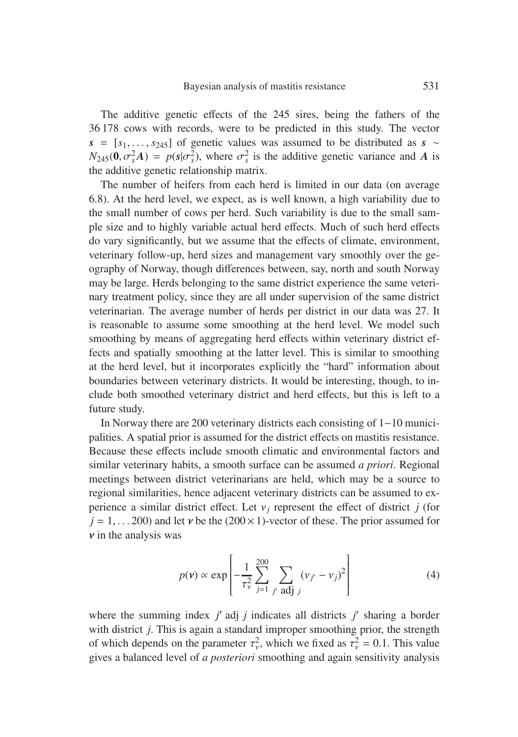The additive genetic effects of the 245 sires, being the fathers of the 36 178 cows with records, were to be predicted in this study. The vector *s* = [*s*1,..., *s*245] of genetic values was assumed to be distributed as *s* ∼  $N_{245}(\mathbf{0}, \sigma_s^2 \mathbf{A}) = p(s|\sigma_s^2)$ , where  $\sigma_s^2$  is the additive genetic variance and *A* is the additive genetic relationship matrix.

The number of heifers from each herd is limited in our data (on average 6.8). At the herd level, we expect, as is well known, a high variability due to the small number of cows per herd. Such variability is due to the small sample size and to highly variable actual herd effects. Much of such herd effects do vary significantly, but we assume that the effects of climate, environment, veterinary follow-up, herd sizes and management vary smoothly over the geography of Norway, though differences between, say, north and south Norway may be large. Herds belonging to the same district experience the same veterinary treatment policy, since they are all under supervision of the same district veterinarian. The average number of herds per district in our data was 27. It is reasonable to assume some smoothing at the herd level. We model such smoothing by means of aggregating herd effects within veterinary district effects and spatially smoothing at the latter level. This is similar to smoothing at the herd level, but it incorporates explicitly the "hard" information about boundaries between veterinary districts. It would be interesting, though, to include both smoothed veterinary district and herd effects, but this is left to a future study.

In Norway there are 200 veterinary districts each consisting of 1−10 municipalities. A spatial prior is assumed for the district effects on mastitis resistance. Because these effects include smooth climatic and environmental factors and similar veterinary habits, a smooth surface can be assumed *a priori*. Regional meetings between district veterinarians are held, which may be a source to regional similarities, hence adjacent veterinary districts can be assumed to experience a similar district effect. Let  $v_i$  represent the effect of district *j* (for  $j = 1, \ldots 200$  and let v be the  $(200 \times 1)$ -vector of these. The prior assumed for  $\nu$  in the analysis was

$$
p(\nu) \propto \exp\left[-\frac{1}{\tau_{\nu}^2} \sum_{j=1}^{200} \sum_{j' \text{ adj } j} (\nu_{j'} - \nu_j)^2\right]
$$
 (4)

where the summing index  $j'$  adj  $j$  indicates all districts  $j'$  sharing a border with district *j*. This is again a standard improper smoothing prior, the strength of which depends on the parameter  $\tau_{\nu}^2$ , which we fixed as  $\tau_{\nu}^2 = 0.1$ . This value gives a balanced level of *a posteriori* smoothing and again sensitivity analysis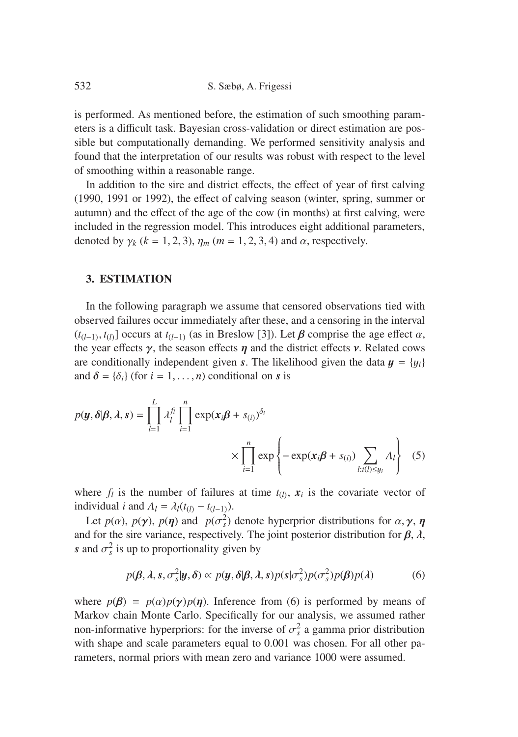532 S. Sæbø, A. Frigessi

is performed. As mentioned before, the estimation of such smoothing parameters is a difficult task. Bayesian cross-validation or direct estimation are possible but computationally demanding. We performed sensitivity analysis and found that the interpretation of our results was robust with respect to the level of smoothing within a reasonable range.

In addition to the sire and district effects, the effect of year of first calving (1990, 1991 or 1992), the effect of calving season (winter, spring, summer or autumn) and the effect of the age of the cow (in months) at first calving, were included in the regression model. This introduces eight additional parameters, denoted by  $\gamma_k$  ( $k = 1, 2, 3$ ),  $\eta_m$  ( $m = 1, 2, 3, 4$ ) and  $\alpha$ , respectively.

# **3. ESTIMATION**

In the following paragraph we assume that censored observations tied with observed failures occur immediately after these, and a censoring in the interval  $(t_{(l-1)}, t_{(l)})$  occurs at  $t_{(l-1)}$  (as in Breslow [3]). Let  $\beta$  comprise the age effect  $\alpha$ , the year effects  $\gamma$ , the season effects  $\eta$  and the district effects  $\nu$ . Related cows are conditionally independent given *s*. The likelihood given the data  $y = \{y_i\}$ and  $\delta = {\delta_i}$  (for  $i = 1, ..., n$ ) conditional on *s* is

$$
p(\mathbf{y}, \delta | \beta, \lambda, s) = \prod_{l=1}^{L} \lambda_l^{f_l} \prod_{i=1}^{n} \exp(x_i \beta + s_{(i)})^{\delta_i}
$$

$$
\times \prod_{i=1}^{n} \exp\left\{-\exp(x_i \beta + s_{(i)}) \sum_{l: t(l) \le y_i} \Lambda_l\right\} \quad (5)
$$

where  $f_l$  is the number of failures at time  $t_{(l)}$ ,  $x_i$  is the covariate vector of individual *i* and  $\Lambda_l = \lambda_l(t_{(l)} - t_{(l-1)})$ .

Let  $p(\alpha)$ ,  $p(\gamma)$ ,  $p(\eta)$  and  $p(\sigma_s^2)$  denote hyperprior distributions for  $\alpha, \gamma, \eta$ and for the sire variance, respectively. The joint posterior distribution for  $\beta$ ,  $\lambda$ , *s* and  $\sigma_s^2$  is up to proportionality given by

$$
p(\boldsymbol{\beta}, \lambda, s, \sigma_s^2 | \boldsymbol{y}, \boldsymbol{\delta}) \propto p(\boldsymbol{y}, \boldsymbol{\delta} | \boldsymbol{\beta}, \lambda, s) p(s | \sigma_s^2) p(\sigma_s^2) p(\boldsymbol{\beta}) p(\lambda) \tag{6}
$$

where  $p(\beta) = p(\alpha)p(\gamma)p(\eta)$ . Inference from (6) is performed by means of Markov chain Monte Carlo. Specifically for our analysis, we assumed rather non-informative hyperpriors: for the inverse of  $\sigma_s^2$  a gamma prior distribution with shape and scale parameters equal to 0.001 was chosen. For all other parameters, normal priors with mean zero and variance 1000 were assumed.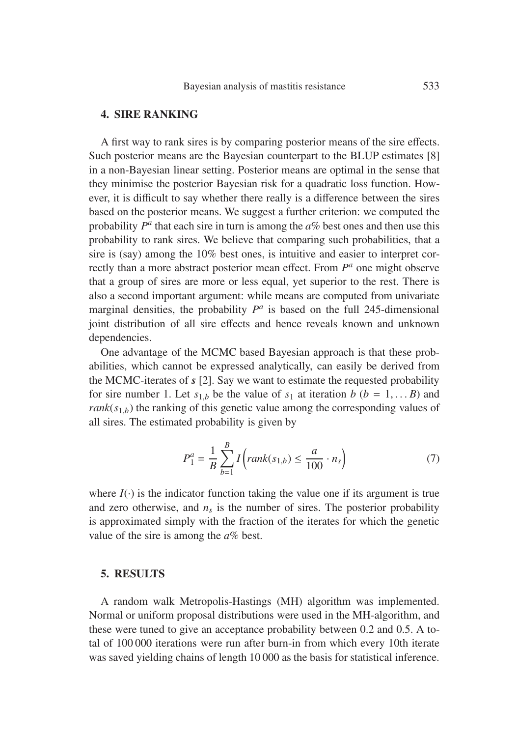# **4. SIRE RANKING**

A first way to rank sires is by comparing posterior means of the sire effects. Such posterior means are the Bayesian counterpart to the BLUP estimates [8] in a non-Bayesian linear setting. Posterior means are optimal in the sense that they minimise the posterior Bayesian risk for a quadratic loss function. However, it is difficult to say whether there really is a difference between the sires based on the posterior means. We suggest a further criterion: we computed the probability  $P^a$  that each sire in turn is among the  $a\%$  best ones and then use this probability to rank sires. We believe that comparing such probabilities, that a sire is (say) among the 10% best ones, is intuitive and easier to interpret correctly than a more abstract posterior mean effect. From *P<sup>a</sup>* one might observe that a group of sires are more or less equal, yet superior to the rest. There is also a second important argument: while means are computed from univariate marginal densities, the probability  $P^a$  is based on the full 245-dimensional joint distribution of all sire effects and hence reveals known and unknown dependencies.

One advantage of the MCMC based Bayesian approach is that these probabilities, which cannot be expressed analytically, can easily be derived from the MCMC-iterates of *s* [2]. Say we want to estimate the requested probability for sire number 1. Let  $s_{1,b}$  be the value of  $s_1$  at iteration  $b$  ( $b = 1, \ldots, B$ ) and  $rank(s_{1,b})$  the ranking of this genetic value among the corresponding values of all sires. The estimated probability is given by

$$
P_1^a = \frac{1}{B} \sum_{b=1}^{B} I\left( rank(s_{1,b}) \le \frac{a}{100} \cdot n_s \right) \tag{7}
$$

where  $I(\cdot)$  is the indicator function taking the value one if its argument is true and zero otherwise, and  $n<sub>s</sub>$  is the number of sires. The posterior probability is approximated simply with the fraction of the iterates for which the genetic value of the sire is among the *a*% best.

# **5. RESULTS**

A random walk Metropolis-Hastings (MH) algorithm was implemented. Normal or uniform proposal distributions were used in the MH-algorithm, and these were tuned to give an acceptance probability between 0.2 and 0.5. A total of 100 000 iterations were run after burn-in from which every 10th iterate was saved yielding chains of length 10 000 as the basis for statistical inference.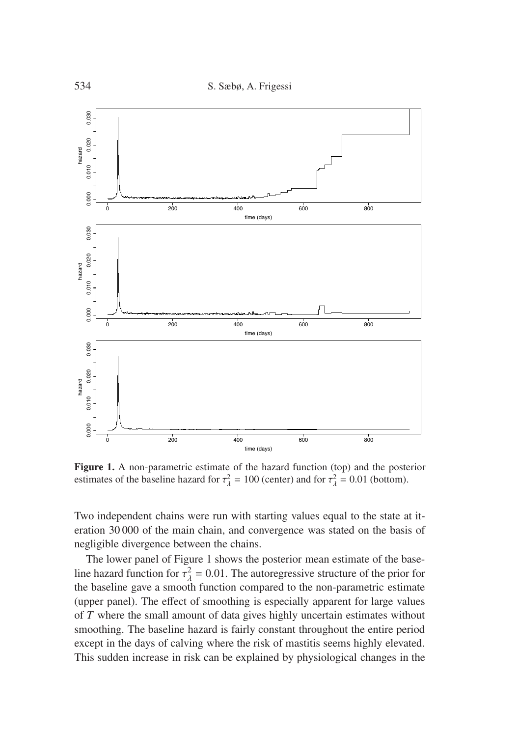

**Figure 1.** A non-parametric estimate of the hazard function (top) and the posterior estimates of the baseline hazard for  $\tau_{\lambda}^2 = 100$  (center) and for  $\tau_{\lambda}^2 = 0.01$  (bottom).

Two independent chains were run with starting values equal to the state at iteration 30 000 of the main chain, and convergence was stated on the basis of negligible divergence between the chains.

The lower panel of Figure 1 shows the posterior mean estimate of the baseline hazard function for  $\tau_{\lambda}^2 = 0.01$ . The autoregressive structure of the prior for the baseline gave a smooth function compared to the non-parametric estimate (upper panel). The effect of smoothing is especially apparent for large values of *T* where the small amount of data gives highly uncertain estimates without smoothing. The baseline hazard is fairly constant throughout the entire period except in the days of calving where the risk of mastitis seems highly elevated. This sudden increase in risk can be explained by physiological changes in the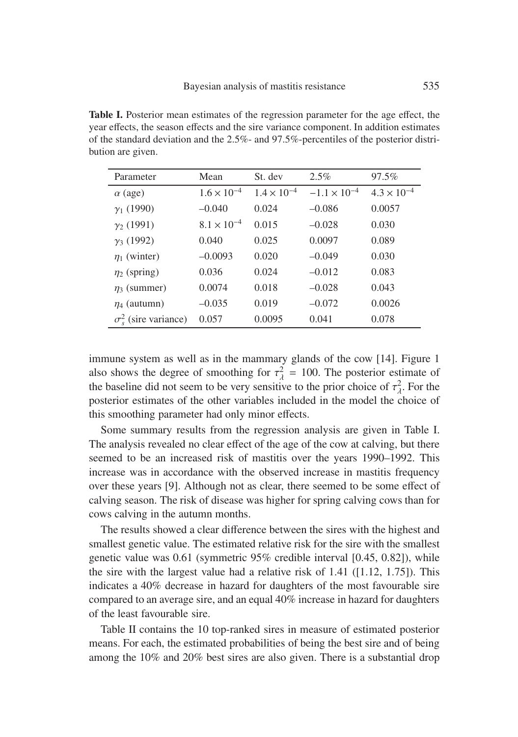**Table I.** Posterior mean estimates of the regression parameter for the age effect, the year effects, the season effects and the sire variance component. In addition estimates of the standard deviation and the 2.5%- and 97.5%-percentiles of the posterior distribution are given.

| Parameter                    | Mean                 | St. dev              | 2.5%                  | 97.5%                |
|------------------------------|----------------------|----------------------|-----------------------|----------------------|
| $\alpha$ (age)               | $1.6 \times 10^{-4}$ | $1.4 \times 10^{-4}$ | $-1.1 \times 10^{-4}$ | $4.3 \times 10^{-4}$ |
| $\gamma_1(1990)$             | $-0.040$             | 0.024                | $-0.086$              | 0.0057               |
| $\gamma_2(1991)$             | $8.1 \times 10^{-4}$ | 0.015                | $-0.028$              | 0.030                |
| $\gamma_3(1992)$             | 0.040                | 0.025                | 0.0097                | 0.089                |
| $\eta_1$ (winter)            | $-0.0093$            | 0.020                | $-0.049$              | 0.030                |
| $\eta_2$ (spring)            | 0.036                | 0.024                | $-0.012$              | 0.083                |
| $\eta_3$ (summer)            | 0.0074               | 0.018                | $-0.028$              | 0.043                |
| $\eta_4$ (autumn)            | $-0.035$             | 0.019                | $-0.072$              | 0.0026               |
| $\sigma_s^2$ (sire variance) | 0.057                | 0.0095               | 0.041                 | 0.078                |

immune system as well as in the mammary glands of the cow [14]. Figure 1 also shows the degree of smoothing for  $\tau_{\lambda}^2 = 100$ . The posterior estimate of the baseline did not seem to be very sensitive to the prior choice of  $\tau^2_{\lambda}$ . For the posterior estimates of the other variables included in the model the choice of this smoothing parameter had only minor effects.

Some summary results from the regression analysis are given in Table I. The analysis revealed no clear effect of the age of the cow at calving, but there seemed to be an increased risk of mastitis over the years 1990–1992. This increase was in accordance with the observed increase in mastitis frequency over these years [9]. Although not as clear, there seemed to be some effect of calving season. The risk of disease was higher for spring calving cows than for cows calving in the autumn months.

The results showed a clear difference between the sires with the highest and smallest genetic value. The estimated relative risk for the sire with the smallest genetic value was 0.61 (symmetric 95% credible interval [0.45, 0.82]), while the sire with the largest value had a relative risk of  $1.41$  ([1.12, 1.75]). This indicates a 40% decrease in hazard for daughters of the most favourable sire compared to an average sire, and an equal 40% increase in hazard for daughters of the least favourable sire.

Table II contains the 10 top-ranked sires in measure of estimated posterior means. For each, the estimated probabilities of being the best sire and of being among the 10% and 20% best sires are also given. There is a substantial drop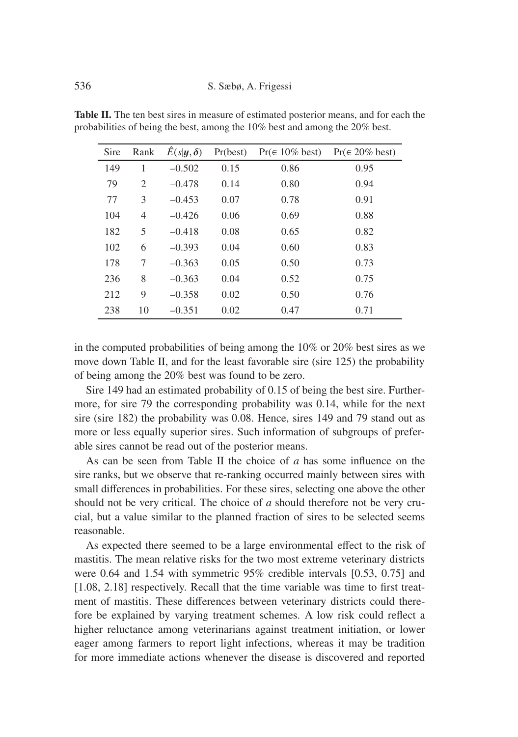| <b>Sire</b> | Rank                        | $\hat{E}(s \boldsymbol{y},\boldsymbol{\delta})$ | Pr(best) | $Pr(\in 10\%$ best) | $Pr(\in 20\% \text{ best})$ |
|-------------|-----------------------------|-------------------------------------------------|----------|---------------------|-----------------------------|
| 149         | 1                           | $-0.502$                                        | 0.15     | 0.86                | 0.95                        |
| 79          | $\mathcal{D}_{\mathcal{L}}$ | $-0.478$                                        | 0.14     | 0.80                | 0.94                        |
| 77          | 3                           | $-0.453$                                        | 0.07     | 0.78                | 0.91                        |
| 104         | 4                           | $-0.426$                                        | 0.06     | 0.69                | 0.88                        |
| 182         | 5                           | $-0.418$                                        | 0.08     | 0.65                | 0.82                        |
| 102         | 6                           | $-0.393$                                        | 0.04     | 0.60                | 0.83                        |
| 178         | 7                           | $-0.363$                                        | 0.05     | 0.50                | 0.73                        |
| 236         | 8                           | $-0.363$                                        | 0.04     | 0.52                | 0.75                        |
| 212         | 9                           | $-0.358$                                        | 0.02     | 0.50                | 0.76                        |
| 238         | 10                          | $-0.351$                                        | 0.02     | 0.47                | 0.71                        |

**Table II.** The ten best sires in measure of estimated posterior means, and for each the probabilities of being the best, among the 10% best and among the 20% best.

in the computed probabilities of being among the 10% or 20% best sires as we move down Table II, and for the least favorable sire (sire 125) the probability of being among the 20% best was found to be zero.

Sire 149 had an estimated probability of 0.15 of being the best sire. Furthermore, for sire 79 the corresponding probability was 0.14, while for the next sire (sire 182) the probability was 0.08. Hence, sires 149 and 79 stand out as more or less equally superior sires. Such information of subgroups of preferable sires cannot be read out of the posterior means.

As can be seen from Table II the choice of *a* has some influence on the sire ranks, but we observe that re-ranking occurred mainly between sires with small differences in probabilities. For these sires, selecting one above the other should not be very critical. The choice of *a* should therefore not be very crucial, but a value similar to the planned fraction of sires to be selected seems reasonable.

As expected there seemed to be a large environmental effect to the risk of mastitis. The mean relative risks for the two most extreme veterinary districts were 0.64 and 1.54 with symmetric 95% credible intervals [0.53, 0.75] and [1.08, 2.18] respectively. Recall that the time variable was time to first treatment of mastitis. These differences between veterinary districts could therefore be explained by varying treatment schemes. A low risk could reflect a higher reluctance among veterinarians against treatment initiation, or lower eager among farmers to report light infections, whereas it may be tradition for more immediate actions whenever the disease is discovered and reported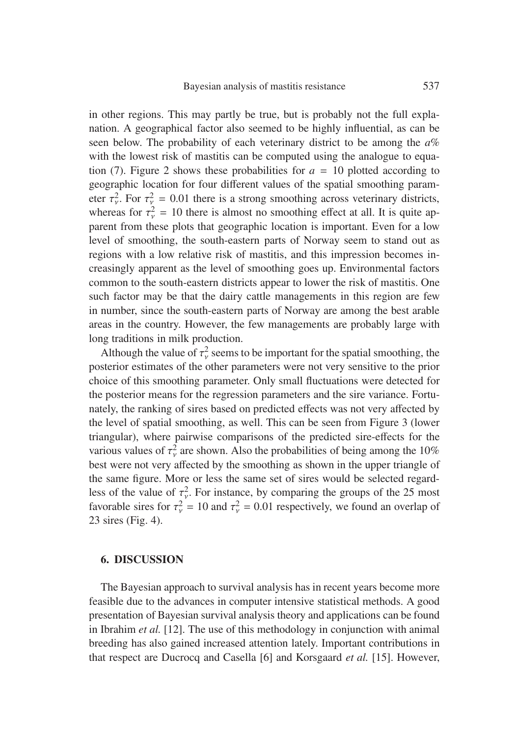in other regions. This may partly be true, but is probably not the full explanation. A geographical factor also seemed to be highly influential, as can be seen below. The probability of each veterinary district to be among the *a*% with the lowest risk of mastitis can be computed using the analogue to equation (7). Figure 2 shows these probabilities for  $a = 10$  plotted according to geographic location for four different values of the spatial smoothing parameter  $\tau_{\nu}^2$ . For  $\tau_{\nu}^2 = 0.01$  there is a strong smoothing across veterinary districts, whereas for  $\tau_{\nu}^2 = 10$  there is almost no smoothing effect at all. It is quite apparent from these plots that geographic location is important. Even for a low level of smoothing, the south-eastern parts of Norway seem to stand out as regions with a low relative risk of mastitis, and this impression becomes increasingly apparent as the level of smoothing goes up. Environmental factors common to the south-eastern districts appear to lower the risk of mastitis. One such factor may be that the dairy cattle managements in this region are few in number, since the south-eastern parts of Norway are among the best arable areas in the country. However, the few managements are probably large with long traditions in milk production.

Although the value of  $\tau_{\nu}^2$  seems to be important for the spatial smoothing, the posterior estimates of the other parameters were not very sensitive to the prior choice of this smoothing parameter. Only small fluctuations were detected for the posterior means for the regression parameters and the sire variance. Fortunately, the ranking of sires based on predicted effects was not very affected by the level of spatial smoothing, as well. This can be seen from Figure 3 (lower triangular), where pairwise comparisons of the predicted sire-effects for the various values of  $\tau_{\nu}^2$  are shown. Also the probabilities of being among the 10% best were not very affected by the smoothing as shown in the upper triangle of the same figure. More or less the same set of sires would be selected regardless of the value of  $\tau_v^2$ . For instance, by comparing the groups of the 25 most favorable sires for  $\tau_{\nu}^2 = 10$  and  $\tau_{\nu}^2 = 0.01$  respectively, we found an overlap of 23 sires (Fig. 4).

#### **6. DISCUSSION**

The Bayesian approach to survival analysis has in recent years become more feasible due to the advances in computer intensive statistical methods. A good presentation of Bayesian survival analysis theory and applications can be found in Ibrahim *et al.* [12]. The use of this methodology in conjunction with animal breeding has also gained increased attention lately. Important contributions in that respect are Ducrocq and Casella [6] and Korsgaard *et al.* [15]. However,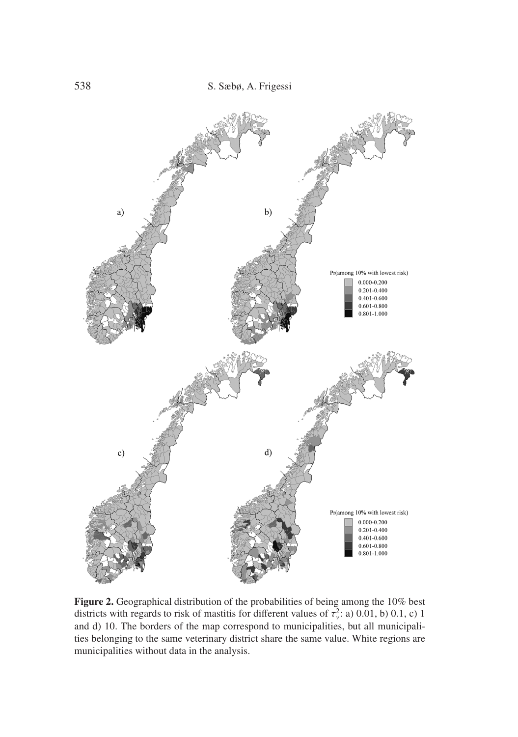

**Figure 2.** Geographical distribution of the probabilities of being among the 10% best districts with regards to risk of mastitis for different values of  $\tau_v^2$ : a) 0.01, b) 0.1, c) 1 and d) 10. The borders of the map correspond to municipalities, but all municipalities belonging to the same veterinary district share the same value. White regions are municipalities without data in the analysis.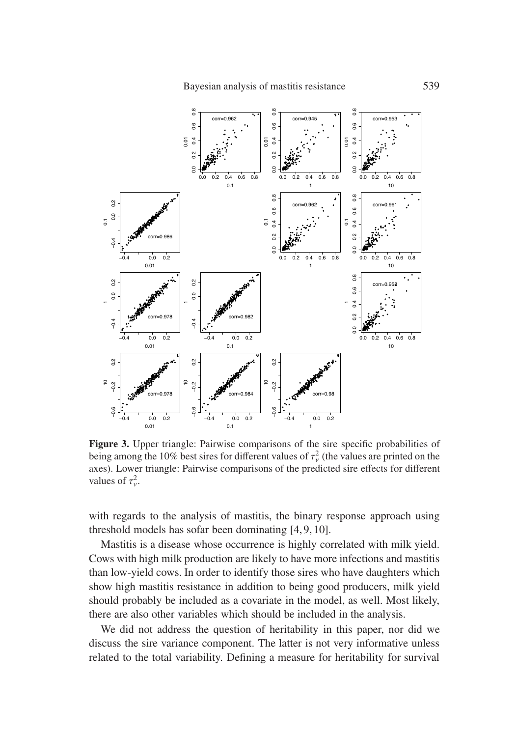

**Figure 3.** Upper triangle: Pairwise comparisons of the sire specific probabilities of being among the 10% best sires for different values of  $\tau_{\nu}^2$  (the values are printed on the axes). Lower triangle: Pairwise comparisons of the predicted sire effects for different values of  $\tau_{\nu}^2$ .

with regards to the analysis of mastitis, the binary response approach using threshold models has sofar been dominating [4, 9, 10].

Mastitis is a disease whose occurrence is highly correlated with milk yield. Cows with high milk production are likely to have more infections and mastitis than low-yield cows. In order to identify those sires who have daughters which show high mastitis resistance in addition to being good producers, milk yield should probably be included as a covariate in the model, as well. Most likely, there are also other variables which should be included in the analysis.

We did not address the question of heritability in this paper, nor did we discuss the sire variance component. The latter is not very informative unless related to the total variability. Defining a measure for heritability for survival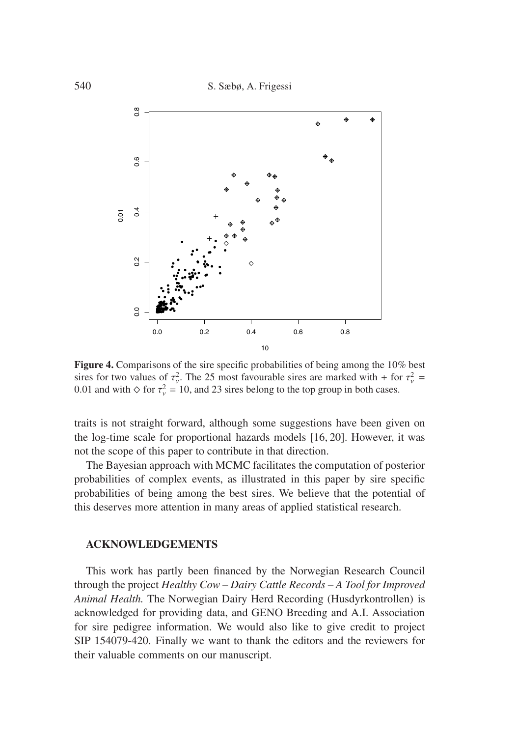540 S. Sæbø, A. Frigessi



**Figure 4.** Comparisons of the sire specific probabilities of being among the 10% best sires for two values of  $\tau_{\nu}^2$ . The 25 most favourable sires are marked with + for  $\tau_{\nu}^2$  = 0.01 and with  $\Diamond$  for  $\tau_{\nu}^2 = 10$ , and 23 sires belong to the top group in both cases.

traits is not straight forward, although some suggestions have been given on the log-time scale for proportional hazards models [16, 20]. However, it was not the scope of this paper to contribute in that direction.

The Bayesian approach with MCMC facilitates the computation of posterior probabilities of complex events, as illustrated in this paper by sire specific probabilities of being among the best sires. We believe that the potential of this deserves more attention in many areas of applied statistical research.

#### **ACKNOWLEDGEMENTS**

This work has partly been financed by the Norwegian Research Council through the project *Healthy Cow – Dairy Cattle Records – A Tool for Improved Animal Health.* The Norwegian Dairy Herd Recording (Husdyrkontrollen) is acknowledged for providing data, and GENO Breeding and A.I. Association for sire pedigree information. We would also like to give credit to project SIP 154079-420. Finally we want to thank the editors and the reviewers for their valuable comments on our manuscript.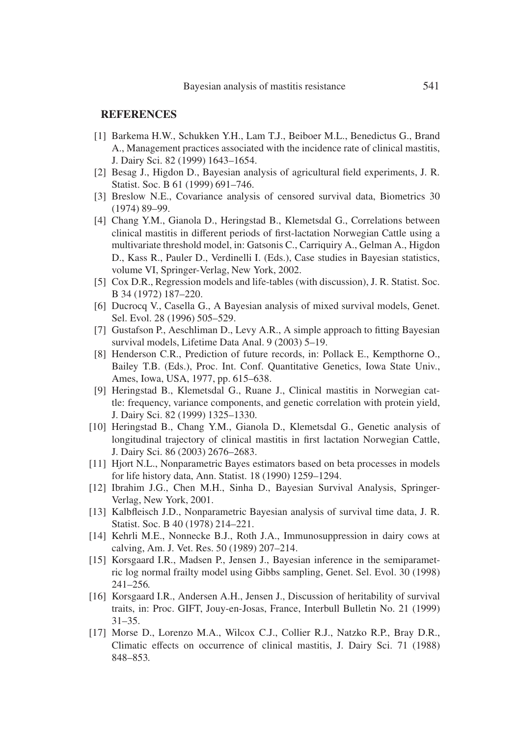### **REFERENCES**

- [1] Barkema H.W., Schukken Y.H., Lam T.J., Beiboer M.L., Benedictus G., Brand A., Management practices associated with the incidence rate of clinical mastitis, J. Dairy Sci. 82 (1999) 1643–1654.
- [2] Besag J., Higdon D., Bayesian analysis of agricultural field experiments, J. R. Statist. Soc. B 61 (1999) 691–746.
- [3] Breslow N.E., Covariance analysis of censored survival data, Biometrics 30 (1974) 89–99.
- [4] Chang Y.M., Gianola D., Heringstad B., Klemetsdal G., Correlations between clinical mastitis in different periods of first-lactation Norwegian Cattle using a multivariate threshold model, in: Gatsonis C., Carriquiry A., Gelman A., Higdon D., Kass R., Pauler D., Verdinelli I. (Eds.), Case studies in Bayesian statistics, volume VI, Springer-Verlag, New York, 2002.
- [5] Cox D.R., Regression models and life-tables (with discussion), J. R. Statist. Soc. B 34 (1972) 187–220.
- [6] Ducrocq V., Casella G., A Bayesian analysis of mixed survival models, Genet. Sel. Evol. 28 (1996) 505–529.
- [7] Gustafson P., Aeschliman D., Levy A.R., A simple approach to fitting Bayesian survival models, Lifetime Data Anal. 9 (2003) 5–19.
- [8] Henderson C.R., Prediction of future records, in: Pollack E., Kempthorne O., Bailey T.B. (Eds.), Proc. Int. Conf. Quantitative Genetics, Iowa State Univ., Ames, Iowa, USA, 1977, pp. 615–638.
- [9] Heringstad B., Klemetsdal G., Ruane J., Clinical mastitis in Norwegian cattle: frequency, variance components, and genetic correlation with protein yield, J. Dairy Sci. 82 (1999) 1325–1330.
- [10] Heringstad B., Chang Y.M., Gianola D., Klemetsdal G., Genetic analysis of longitudinal trajectory of clinical mastitis in first lactation Norwegian Cattle, J. Dairy Sci. 86 (2003) 2676–2683.
- [11] Hjort N.L., Nonparametric Bayes estimators based on beta processes in models for life history data, Ann. Statist. 18 (1990) 1259–1294.
- [12] Ibrahim J.G., Chen M.H., Sinha D., Bayesian Survival Analysis, Springer-Verlag, New York, 2001.
- [13] Kalbfleisch J.D., Nonparametric Bayesian analysis of survival time data, J. R. Statist. Soc. B 40 (1978) 214–221.
- [14] Kehrli M.E., Nonnecke B.J., Roth J.A., Immunosuppression in dairy cows at calving, Am. J. Vet. Res. 50 (1989) 207–214.
- [15] Korsgaard I.R., Madsen P., Jensen J., Bayesian inference in the semiparametric log normal frailty model using Gibbs sampling, Genet. Sel. Evol. 30 (1998) 241–256.
- [16] Korsgaard I.R., Andersen A.H., Jensen J., Discussion of heritability of survival traits, in: Proc. GIFT, Jouy-en-Josas, France, Interbull Bulletin No. 21 (1999) 31–35.
- [17] Morse D., Lorenzo M.A., Wilcox C.J., Collier R.J., Natzko R.P., Bray D.R., Climatic effects on occurrence of clinical mastitis, J. Dairy Sci. 71 (1988) 848–853.